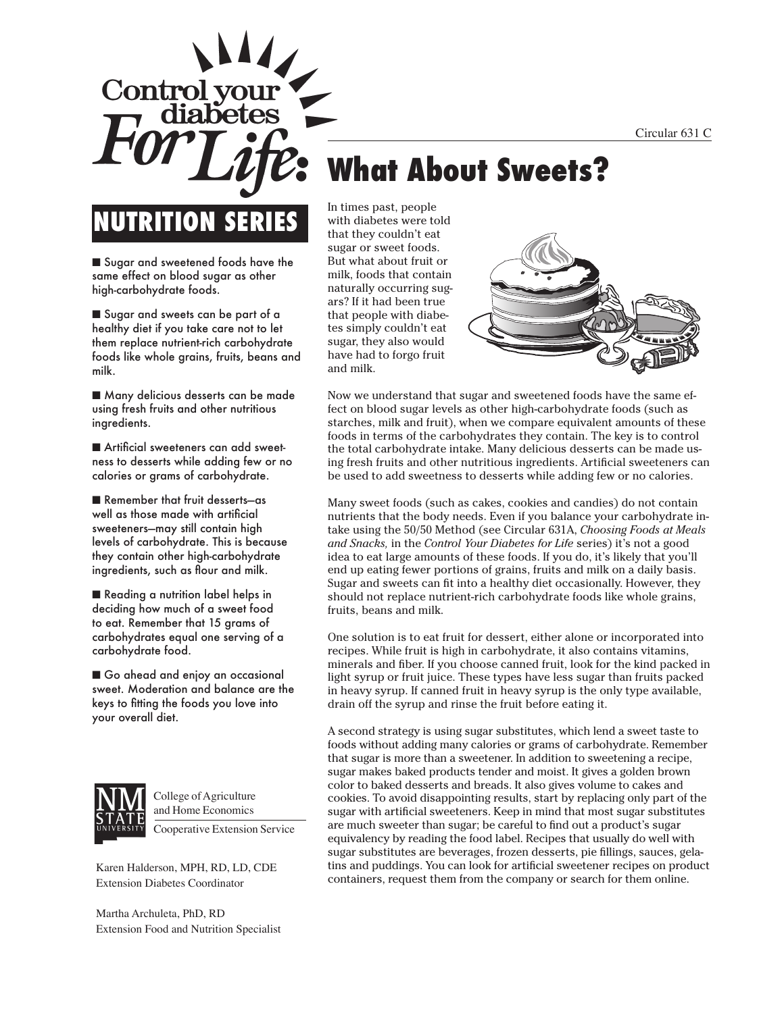Circular 631 C

# **NUTRITION SERIES**

Control vo

■ Sugar and sweetened foods have the same effect on blood sugar as other high-carbohydrate foods.

■ Sugar and sweets can be part of a healthy diet if you take care not to let them replace nutrient-rich carbohydrate foods like whole grains, fruits, beans and milk.

■ Many delicious desserts can be made using fresh fruits and other nutritious ingredients.

■ Artificial sweeteners can add sweetness to desserts while adding few or no calories or grams of carbohydrate.

■ Remember that fruit desserts-as well as those made with artificial sweeteners—may still contain high levels of carbohydrate. This is because they contain other high-carbohydrate ingredients, such as flour and milk.

■ Reading a nutrition label helps in deciding how much of a sweet food to eat. Remember that 15 grams of carbohydrates equal one serving of a carbohydrate food.

■ Go ahead and enjoy an occasional sweet. Moderation and balance are the keys to fitting the foods you love into your overall diet.



College of Agriculture and Home Economics

Cooperative Extension Service

Karen Halderson, MPH, RD, LD, CDE Extension Diabetes Coordinator

Martha Archuleta, PhD, RD Extension Food and Nutrition Specialist In times past, people with diabetes were told that they couldn't eat sugar or sweet foods. But what about fruit or milk, foods that contain naturally occurring sugars? If it had been true that people with diabetes simply couldn't eat sugar, they also would have had to forgo fruit and milk.

**What About Sweets?**



Now we understand that sugar and sweetened foods have the same effect on blood sugar levels as other high-carbohydrate foods (such as starches, milk and fruit), when we compare equivalent amounts of these foods in terms of the carbohydrates they contain. The key is to control the total carbohydrate intake. Many delicious desserts can be made using fresh fruits and other nutritious ingredients. Artificial sweeteners can be used to add sweetness to desserts while adding few or no calories.

Many sweet foods (such as cakes, cookies and candies) do not contain nutrients that the body needs. Even if you balance your carbohydrate intake using the 50/50 Method (see Circular 631A, *Choosing Foods at Meals and Snacks,* in the *Control Your Diabetes for Life* series) it's not a good idea to eat large amounts of these foods. If you do, it's likely that you'll end up eating fewer portions of grains, fruits and milk on a daily basis. Sugar and sweets can fit into a healthy diet occasionally. However, they should not replace nutrient-rich carbohydrate foods like whole grains, fruits, beans and milk.

One solution is to eat fruit for dessert, either alone or incorporated into recipes. While fruit is high in carbohydrate, it also contains vitamins, minerals and fiber. If you choose canned fruit, look for the kind packed in light syrup or fruit juice. These types have less sugar than fruits packed in heavy syrup. If canned fruit in heavy syrup is the only type available, drain off the syrup and rinse the fruit before eating it.

A second strategy is using sugar substitutes, which lend a sweet taste to foods without adding many calories or grams of carbohydrate. Remember that sugar is more than a sweetener. In addition to sweetening a recipe, sugar makes baked products tender and moist. It gives a golden brown color to baked desserts and breads. It also gives volume to cakes and cookies. To avoid disappointing results, start by replacing only part of the sugar with artificial sweeteners. Keep in mind that most sugar substitutes are much sweeter than sugar; be careful to find out a product's sugar equivalency by reading the food label. Recipes that usually do well with sugar substitutes are beverages, frozen desserts, pie fillings, sauces, gelatins and puddings. You can look for artificial sweetener recipes on product containers, request them from the company or search for them online.